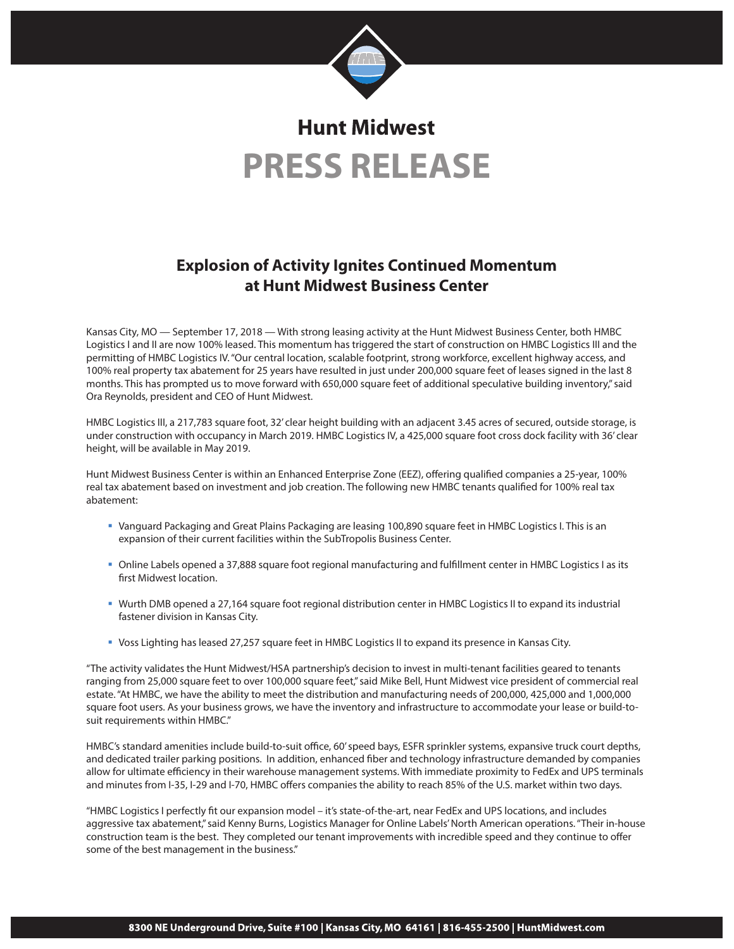

# **Hunt Midwest PRESS RELEASE**

# **Explosion of Activity Ignites Continued Momentum at Hunt Midwest Business Center**

Kansas City, MO — September 17, 2018 — With strong leasing activity at the Hunt Midwest Business Center, both HMBC Logistics I and II are now 100% leased. This momentum has triggered the start of construction on HMBC Logistics III and the permitting of HMBC Logistics IV. "Our central location, scalable footprint, strong workforce, excellent highway access, and 100% real property tax abatement for 25 years have resulted in just under 200,000 square feet of leases signed in the last 8 months. This has prompted us to move forward with 650,000 square feet of additional speculative building inventory," said Ora Reynolds, president and CEO of Hunt Midwest.

HMBC Logistics III, a 217,783 square foot, 32' clear height building with an adjacent 3.45 acres of secured, outside storage, is under construction with occupancy in March 2019. HMBC Logistics IV, a 425,000 square foot cross dock facility with 36' clear height, will be available in May 2019.

Hunt Midwest Business Center is within an Enhanced Enterprise Zone (EEZ), offering qualified companies a 25-year, 100% real tax abatement based on investment and job creation. The following new HMBC tenants qualified for 100% real tax abatement:

- <sup>■</sup> Vanguard Packaging and Great Plains Packaging are leasing 100,890 square feet in HMBC Logistics I. This is an expansion of their current facilities within the SubTropolis Business Center.
- <sup>■</sup> Online Labels opened a 37,888 square foot regional manufacturing and fulfillment center in HMBC Logistics I as its first Midwest location.
- **•** Wurth DMB opened a 27,164 square foot regional distribution center in HMBC Logistics II to expand its industrial fastener division in Kansas City.
- Voss Lighting has leased 27,257 square feet in HMBC Logistics II to expand its presence in Kansas City.

"The activity validates the Hunt Midwest/HSA partnership's decision to invest in multi-tenant facilities geared to tenants ranging from 25,000 square feet to over 100,000 square feet," said Mike Bell, Hunt Midwest vice president of commercial real estate. "At HMBC, we have the ability to meet the distribution and manufacturing needs of 200,000, 425,000 and 1,000,000 square foot users. As your business grows, we have the inventory and infrastructure to accommodate your lease or build-tosuit requirements within HMBC."

HMBC's standard amenities include build-to-suit office, 60' speed bays, ESFR sprinkler systems, expansive truck court depths, and dedicated trailer parking positions. In addition, enhanced fiber and technology infrastructure demanded by companies allow for ultimate efficiency in their warehouse management systems. With immediate proximity to FedEx and UPS terminals and minutes from I-35, I-29 and I-70, HMBC offers companies the ability to reach 85% of the U.S. market within two days.

"HMBC Logistics I perfectly fit our expansion model – it's state-of-the-art, near FedEx and UPS locations, and includes aggressive tax abatement," said Kenny Burns, Logistics Manager for Online Labels' North American operations. "Their in-house construction team is the best. They completed our tenant improvements with incredible speed and they continue to offer some of the best management in the business."